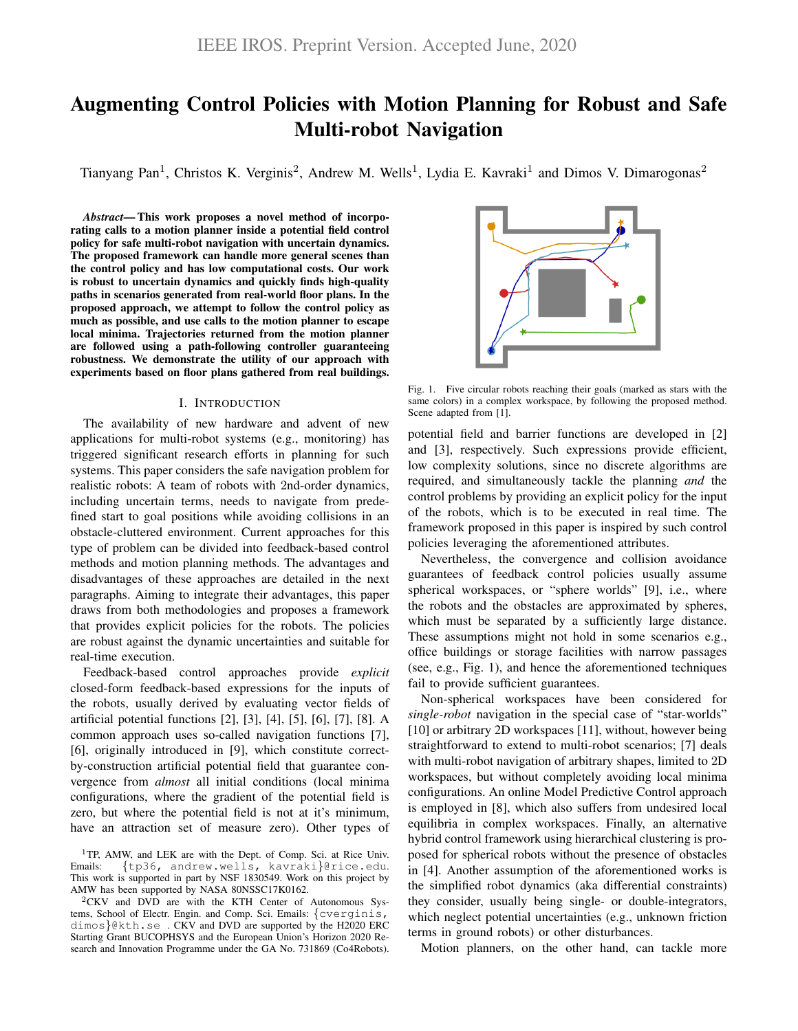# Augmenting Control Policies with Motion Planning for Robust and Safe Multi-robot Navigation

Tianyang Pan<sup>1</sup>, Christos K. Verginis<sup>2</sup>, Andrew M. Wells<sup>1</sup>, Lydia E. Kavraki<sup>1</sup> and Dimos V. Dimarogonas<sup>2</sup>

*Abstract*— This work proposes a novel method of incorporating calls to a motion planner inside a potential field control policy for safe multi-robot navigation with uncertain dynamics. The proposed framework can handle more general scenes than the control policy and has low computational costs. Our work is robust to uncertain dynamics and quickly finds high-quality paths in scenarios generated from real-world floor plans. In the proposed approach, we attempt to follow the control policy as much as possible, and use calls to the motion planner to escape local minima. Trajectories returned from the motion planner are followed using a path-following controller guaranteeing robustness. We demonstrate the utility of our approach with experiments based on floor plans gathered from real buildings.

## I. INTRODUCTION

The availability of new hardware and advent of new applications for multi-robot systems (e.g., monitoring) has triggered significant research efforts in planning for such systems. This paper considers the safe navigation problem for realistic robots: A team of robots with 2nd-order dynamics, including uncertain terms, needs to navigate from predefined start to goal positions while avoiding collisions in an obstacle-cluttered environment. Current approaches for this type of problem can be divided into feedback-based control methods and motion planning methods. The advantages and disadvantages of these approaches are detailed in the next paragraphs. Aiming to integrate their advantages, this paper draws from both methodologies and proposes a framework that provides explicit policies for the robots. The policies are robust against the dynamic uncertainties and suitable for real-time execution.

Feedback-based control approaches provide *explicit* closed-form feedback-based expressions for the inputs of the robots, usually derived by evaluating vector fields of artificial potential functions [2], [3], [4], [5], [6], [7], [8]. A common approach uses so-called navigation functions [7], [6], originally introduced in [9], which constitute correctby-construction artificial potential field that guarantee convergence from *almost* all initial conditions (local minima configurations, where the gradient of the potential field is zero, but where the potential field is not at it's minimum, have an attraction set of measure zero). Other types of

<sup>2</sup>CKV and DVD are with the KTH Center of Autonomous Systems, School of Electr. Engin. and Comp. Sci. Emails: {cverginis, dimos}@kth.se . CKV and DVD are supported by the H2020 ERC Starting Grant BUCOPHSYS and the European Union's Horizon 2020 Research and Innovation Programme under the GA No. 731869 (Co4Robots).



Fig. 1. Five circular robots reaching their goals (marked as stars with the same colors) in a complex workspace, by following the proposed method. Scene adapted from [1].

potential field and barrier functions are developed in [2] and [3], respectively. Such expressions provide efficient, low complexity solutions, since no discrete algorithms are required, and simultaneously tackle the planning *and* the control problems by providing an explicit policy for the input of the robots, which is to be executed in real time. The framework proposed in this paper is inspired by such control policies leveraging the aforementioned attributes.

Nevertheless, the convergence and collision avoidance guarantees of feedback control policies usually assume spherical workspaces, or "sphere worlds" [9], i.e., where the robots and the obstacles are approximated by spheres, which must be separated by a sufficiently large distance. These assumptions might not hold in some scenarios e.g., office buildings or storage facilities with narrow passages (see, e.g., Fig. 1), and hence the aforementioned techniques fail to provide sufficient guarantees.

Non-spherical workspaces have been considered for *single-robot* navigation in the special case of "star-worlds" [10] or arbitrary 2D workspaces [11], without, however being straightforward to extend to multi-robot scenarios; [7] deals with multi-robot navigation of arbitrary shapes, limited to 2D workspaces, but without completely avoiding local minima configurations. An online Model Predictive Control approach is employed in [8], which also suffers from undesired local equilibria in complex workspaces. Finally, an alternative hybrid control framework using hierarchical clustering is proposed for spherical robots without the presence of obstacles in [4]. Another assumption of the aforementioned works is the simplified robot dynamics (aka differential constraints) they consider, usually being single- or double-integrators, which neglect potential uncertainties (e.g., unknown friction terms in ground robots) or other disturbances.

Motion planners, on the other hand, can tackle more

<sup>&</sup>lt;sup>1</sup>TP, AMW, and LEK are with the Dept. of Comp. Sci. at Rice Univ. Emails: {tp36, andrew.wells, kavraki}@rice.edu. This work is supported in part by NSF 1830549. Work on this project by AMW has been supported by NASA 80NSSC17K0162.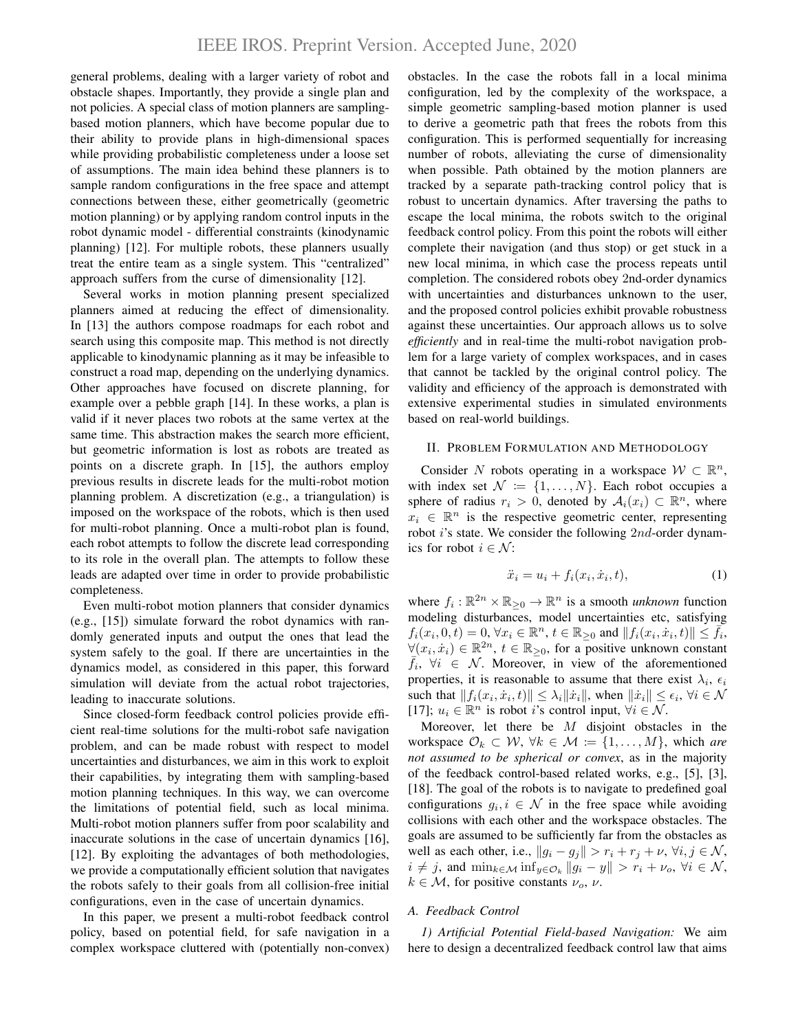general problems, dealing with a larger variety of robot and obstacle shapes. Importantly, they provide a single plan and not policies. A special class of motion planners are samplingbased motion planners, which have become popular due to their ability to provide plans in high-dimensional spaces while providing probabilistic completeness under a loose set of assumptions. The main idea behind these planners is to sample random configurations in the free space and attempt connections between these, either geometrically (geometric motion planning) or by applying random control inputs in the robot dynamic model - differential constraints (kinodynamic planning) [12]. For multiple robots, these planners usually treat the entire team as a single system. This "centralized" approach suffers from the curse of dimensionality [12].

Several works in motion planning present specialized planners aimed at reducing the effect of dimensionality. In [13] the authors compose roadmaps for each robot and search using this composite map. This method is not directly applicable to kinodynamic planning as it may be infeasible to construct a road map, depending on the underlying dynamics. Other approaches have focused on discrete planning, for example over a pebble graph [14]. In these works, a plan is valid if it never places two robots at the same vertex at the same time. This abstraction makes the search more efficient, but geometric information is lost as robots are treated as points on a discrete graph. In [15], the authors employ previous results in discrete leads for the multi-robot motion planning problem. A discretization (e.g., a triangulation) is imposed on the workspace of the robots, which is then used for multi-robot planning. Once a multi-robot plan is found, each robot attempts to follow the discrete lead corresponding to its role in the overall plan. The attempts to follow these leads are adapted over time in order to provide probabilistic completeness.

Even multi-robot motion planners that consider dynamics (e.g., [15]) simulate forward the robot dynamics with randomly generated inputs and output the ones that lead the system safely to the goal. If there are uncertainties in the dynamics model, as considered in this paper, this forward simulation will deviate from the actual robot trajectories, leading to inaccurate solutions.

Since closed-form feedback control policies provide efficient real-time solutions for the multi-robot safe navigation problem, and can be made robust with respect to model uncertainties and disturbances, we aim in this work to exploit their capabilities, by integrating them with sampling-based motion planning techniques. In this way, we can overcome the limitations of potential field, such as local minima. Multi-robot motion planners suffer from poor scalability and inaccurate solutions in the case of uncertain dynamics [16], [12]. By exploiting the advantages of both methodologies, we provide a computationally efficient solution that navigates the robots safely to their goals from all collision-free initial configurations, even in the case of uncertain dynamics.

In this paper, we present a multi-robot feedback control policy, based on potential field, for safe navigation in a complex workspace cluttered with (potentially non-convex)

obstacles. In the case the robots fall in a local minima configuration, led by the complexity of the workspace, a simple geometric sampling-based motion planner is used to derive a geometric path that frees the robots from this configuration. This is performed sequentially for increasing number of robots, alleviating the curse of dimensionality when possible. Path obtained by the motion planners are tracked by a separate path-tracking control policy that is robust to uncertain dynamics. After traversing the paths to escape the local minima, the robots switch to the original feedback control policy. From this point the robots will either complete their navigation (and thus stop) or get stuck in a new local minima, in which case the process repeats until completion. The considered robots obey 2nd-order dynamics with uncertainties and disturbances unknown to the user, and the proposed control policies exhibit provable robustness against these uncertainties. Our approach allows us to solve *efficiently* and in real-time the multi-robot navigation problem for a large variety of complex workspaces, and in cases that cannot be tackled by the original control policy. The validity and efficiency of the approach is demonstrated with extensive experimental studies in simulated environments based on real-world buildings.

## II. PROBLEM FORMULATION AND METHODOLOGY

Consider N robots operating in a workspace  $W \subset \mathbb{R}^n$ , with index set  $\mathcal{N} := \{1, \ldots, N\}$ . Each robot occupies a sphere of radius  $r_i > 0$ , denoted by  $A_i(x_i) \subset \mathbb{R}^n$ , where  $x_i \in \mathbb{R}^n$  is the respective geometric center, representing robot *i*'s state. We consider the following 2nd-order dynamics for robot  $i \in \mathcal{N}$ :

$$
\ddot{x}_i = u_i + f_i(x_i, \dot{x}_i, t),\tag{1}
$$

where  $f_i : \mathbb{R}^{2n} \times \mathbb{R}_{\geq 0} \to \mathbb{R}^n$  is a smooth *unknown* function modeling disturbances, model uncertainties etc, satisfying  $f_i(x_i, 0, t) = 0, \forall x_i \in \mathbb{R}^n, t \in \mathbb{R}_{\geq 0}$  and  $||f_i(x_i, \dot{x}_i, t)|| \leq \overline{\tilde{f}_i}$ ,  $\forall (x_i, \dot{x}_i) \in \mathbb{R}^{2n}, t \in \mathbb{R}_{\geq 0}$ , for a positive unknown constant  $\bar{f}_i$ ,  $\forall i \in \mathcal{N}$ . Moreover, in view of the aforementioned properties, it is reasonable to assume that there exist  $\lambda_i$ ,  $\epsilon_i$ such that  $||f_i(x_i, \dot{x}_i, t)|| \leq \lambda_i ||\dot{x}_i||$ , when  $||\dot{x}_i|| \leq \epsilon_i$ ,  $\forall i \in \mathcal{N}$ [17];  $u_i \in \mathbb{R}^n$  is robot i's control input,  $\forall i \in \mathcal{N}$ .

Moreover, let there be  $M$  disjoint obstacles in the workspace  $\mathcal{O}_k \subset \mathcal{W}, \forall k \in \mathcal{M} \coloneqq \{1, \ldots, M\}$ , which *are not assumed to be spherical or convex*, as in the majority of the feedback control-based related works, e.g., [5], [3], [18]. The goal of the robots is to navigate to predefined goal configurations  $g_i, i \in \mathcal{N}$  in the free space while avoiding collisions with each other and the workspace obstacles. The goals are assumed to be sufficiently far from the obstacles as well as each other, i.e.,  $||g_i - g_j|| > r_i + r_j + \nu$ ,  $\forall i, j \in \mathcal{N}$ ,  $i \neq j$ , and  $\min_{k \in \mathcal{M}} \inf_{y \in \mathcal{O}_k} ||g_i - y|| > r_i + \nu_o, \forall i \in \mathcal{N}$ ,  $k \in \mathcal{M}$ , for positive constants  $\nu_o$ ,  $\nu$ .

# *A. Feedback Control*

*1) Artificial Potential Field-based Navigation:* We aim here to design a decentralized feedback control law that aims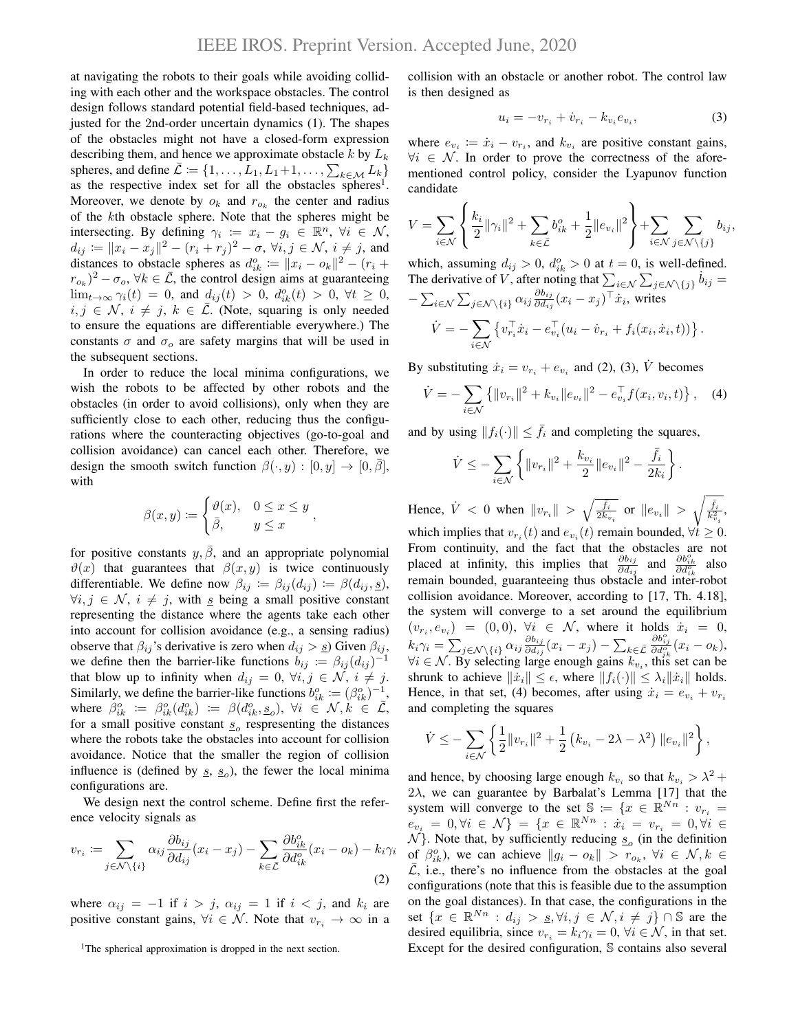at navigating the robots to their goals while avoiding colliding with each other and the workspace obstacles. The control design follows standard potential field-based techniques, adjusted for the 2nd-order uncertain dynamics (1). The shapes of the obstacles might not have a closed-form expression describing them, and hence we approximate obstacle k by  $L_k$ spheres, and define  $\bar{\mathcal{L}} \coloneqq \{1, \ldots, L_1, L_1+1, \ldots, \sum_{k \in \mathcal{M}} L_k\}$ as the respective index set for all the obstacles spheres<sup>1</sup>. Moreover, we denote by  $o_k$  and  $r_{o_k}$  the center and radius of the kth obstacle sphere. Note that the spheres might be intersecting. By defining  $\gamma_i := x_i - g_i \in \mathbb{R}^n$ ,  $\forall i \in \mathcal{N}$ ,  $d_{ij} \coloneqq \|x_i - x_j\|^2 - (r_i + r_j)^2 - \sigma, \,\forall i, j \in \mathcal{N}, \, i \neq j, \text{ and}$ distances to obstacle spheres as  $d_{ik}^o := ||x_i - o_k||^2 - (r_i +$  $(r_{o_k})^2 - \sigma_o$ ,  $\forall k \in \overline{\mathcal{L}}$ , the control design aims at guaranteeing  $\lim_{t\to\infty} \gamma_i(t) = 0$ , and  $d_{ij}(t) > 0$ ,  $d_{ik}^o(t) > 0$ ,  $\forall t \geq 0$ ,  $i, j \in \mathcal{N}, i \neq j, k \in \overline{\mathcal{L}}$ . (Note, squaring is only needed to ensure the equations are differentiable everywhere.) The constants  $\sigma$  and  $\sigma_o$  are safety margins that will be used in the subsequent sections.

In order to reduce the local minima configurations, we wish the robots to be affected by other robots and the obstacles (in order to avoid collisions), only when they are sufficiently close to each other, reducing thus the configurations where the counteracting objectives (go-to-goal and collision avoidance) can cancel each other. Therefore, we design the smooth switch function  $\beta(\cdot, y) : [0, y] \to [0, \beta],$ with

$$
\beta(x, y) := \begin{cases} \vartheta(x), & 0 \le x \le y \\ \bar{\beta}, & y \le x \end{cases}
$$

,

for positive constants  $y, \overline{\beta}$ , and an appropriate polynomial  $\vartheta(x)$  that guarantees that  $\beta(x, y)$  is twice continuously differentiable. We define now  $\beta_{ij} := \beta_{ij}(d_{ij}) := \beta(d_{ij}, \underline{s}),$  $\forall i, j \in \mathcal{N}, i \neq j$ , with s being a small positive constant representing the distance where the agents take each other into account for collision avoidance (e.g., a sensing radius) observe that  $\beta_{ij}$ 's derivative is zero when  $d_{ij} > g$ ) Given  $\beta_{ij}$ , we define then the barrier-like functions  $b_{ij} := \beta_{ij} (d_{ij})^{-1}$ that blow up to infinity when  $d_{ij} = 0, \forall i, j \in \mathcal{N}, i \neq j$ . Similarly, we define the barrier-like functions  $b_{ik}^o := (\beta_{ik}^o)^{-1}$ , where  $\beta_{ik}^o := \beta_{ik}^o(d_{ik}^o) := \beta(d_{ik}^o, s_o)$ ,  $\forall i \in \mathcal{N}, k \in \mathcal{L}$ , for a small positive constant  $s$ <sub>o</sub> respresenting the distances where the robots take the obstacles into account for collision avoidance. Notice that the smaller the region of collision influence is (defined by  $\underline{s}$ ,  $\underline{s}$ <sub>o</sub>), the fewer the local minima configurations are.

We design next the control scheme. Define first the reference velocity signals as

$$
v_{r_i} := \sum_{j \in \mathcal{N} \setminus \{i\}} \alpha_{ij} \frac{\partial b_{ij}}{\partial d_{ij}} (x_i - x_j) - \sum_{k \in \bar{\mathcal{L}}} \frac{\partial b_{ik}^o}{\partial d_{ik}^o} (x_i - o_k) - k_i \gamma_i
$$
\n(2)

where  $\alpha_{ij} = -1$  if  $i > j$ ,  $\alpha_{ij} = 1$  if  $i < j$ , and  $k_i$  are positive constant gains,  $\forall i \in \mathcal{N}$ . Note that  $v_{r_i} \to \infty$  in a collision with an obstacle or another robot. The control law is then designed as

$$
u_i = -v_{r_i} + \dot{v}_{r_i} - k_{v_i} e_{v_i}, \tag{3}
$$

where  $e_{v_i} \coloneqq \dot{x}_i - v_{r_i}$ , and  $k_{v_i}$  are positive constant gains,  $\forall i \in \mathcal{N}$ . In order to prove the correctness of the aforementioned control policy, consider the Lyapunov function candidate

$$
V = \sum_{i \in \mathcal{N}} \left\{ \frac{k_i}{2} ||\gamma_i||^2 + \sum_{k \in \bar{\mathcal{L}}} b_{ik}^o + \frac{1}{2} ||e_{v_i}||^2 \right\} + \sum_{i \in \mathcal{N}} \sum_{j \in \mathcal{N} \setminus \{j\}} b_{ij},
$$

which, assuming  $d_{ij} > 0$ ,  $d_{ik}^o > 0$  at  $t = 0$ , is well-defined. The derivative of V, after noting that  $\sum_{i \in \mathcal{N}} \sum_{j \in \mathcal{N} \setminus \{j\}} b_{ij} =$  $-\sum_{i\in\mathcal{N}}\sum_{j\in\mathcal{N}\setminus\{i\}}\alpha_{ij}\frac{\partial b_{ij}}{\partial d_{ij}}$  $\frac{\partial b_{ij}}{\partial d_{ij}}(x_i-x_j)^\top \dot{x}_i$ , writes  $\dot{V} = -\sum$ i∈N  $\{v_{r_i}^{\top} \dot{x}_i - e_{v_i}^{\top} (u_i - \dot{v}_{r_i} + f_i(x_i, \dot{x}_i, t))\}.$ 

By substituting  $\dot{x}_i = v_{r_i} + e_{v_i}$  and (2), (3),  $\dot{V}$  becomes

$$
\dot{V} = -\sum_{i \in \mathcal{N}} \left\{ ||v_{r_i}||^2 + k_{v_i} ||e_{v_i}||^2 - e_{v_i}^\top f(x_i, v_i, t) \right\}, \quad (4)
$$

and by using  $||f_i(\cdot)|| \leq \bar{f}_i$  and completing the squares,

$$
\dot{V} \leq -\sum_{i \in \mathcal{N}} \left\{ ||v_{r_i}||^2 + \frac{k_{v_i}}{2} ||e_{v_i}||^2 - \frac{\bar{f}_i}{2k_i} \right\}.
$$

Hence,  $\dot{V} < 0$  when  $||v_{r_i}|| > \sqrt{\frac{\bar{f}_i}{2k_i}}$  $\overline{\frac{\bar{f}_i}{2k_{v_i}}}$  or  $\|e_{v_i}\|$   $> \sqrt{\frac{\bar{f}_i}{k_{v_i}^2}},$ which implies that  $v_{r_i}(t)$  and  $e_{v_i}(t)$  remain bounded,  $\forall t \geq 0$ . From continuity, and the fact that the obstacles are not placed at infinity, this implies that  $\frac{\partial b_{ij}}{\partial d_{ij}}$  and  $\frac{\partial b_{ik}^{\circ}}{\partial d_{ik}^{\circ}}$  also remain bounded, guaranteeing thus obstacle and inter-robot collision avoidance. Moreover, according to [17, Th. 4.18], the system will converge to a set around the equilibrium  $(v_{r_i}, e_{v_i}) = (0, 0), \forall i \in \mathcal{N}$ , where it holds  $\dot{x}_i = 0$ ,  $k_i\gamma_i=\sum_{j\in\mathcal{N}\setminus\{i\}}\alpha_{ij}\frac{\partial b_{ij}}{\partial d_{ij}}$  $\frac{\partial b_{ij}}{\partial d_{ij}}(x_i-x_j)-\sum_{k\in\bar{\mathcal{L}}}$  $\frac{\partial b_{ij}^o}{\partial d_{ik}^o}(x_i - o_k),$  $\forall i \in \mathcal{N}$ . By selecting large enough gains  $k_{v_i}$ , this set can be shrunk to achieve  $\|\dot{x}_i\| \leq \epsilon$ , where  $\|f_i(\cdot)\| \leq \lambda_i \|\dot{x}_i\|$  holds. Hence, in that set, (4) becomes, after using  $\dot{x}_i = e_{v_i} + v_{r_i}$ and completing the squares

$$
\dot{V} \leq -\sum_{i \in \mathcal{N}} \left\{ \frac{1}{2} ||v_{r_i}||^2 + \frac{1}{2} \left( k_{v_i} - 2\lambda - \lambda^2 \right) ||e_{v_i}||^2 \right\},\,
$$

and hence, by choosing large enough  $k_{v_i}$  so that  $k_{v_i} > \lambda^2 + \lambda^2$  $2\lambda$ , we can guarantee by Barbalat's Lemma [17] that the system will converge to the set  $\mathbb{S} := \{x \in \mathbb{R}^{Nn} : v_{r_i} =$  $e_{v_i} = 0, \forall i \in \mathcal{N} \} = \{ x \in \mathbb{R}^{Nn} : x_i = v_{r_i} = 0, \forall i \in \mathcal{N} \}$  $\mathcal{N}$ }. Note that, by sufficiently reducing  $s_o$  (in the definition of  $\beta_{ik}^o$ ), we can achieve  $||g_i - o_k|| > r_{o_k}$ ,  $\forall i \in \mathcal{N}, k \in$  $\overline{L}$ , i.e., there's no influence from the obstacles at the goal configurations (note that this is feasible due to the assumption on the goal distances). In that case, the configurations in the set  $\{x \in \mathbb{R}^{Nn} : d_{ij} > s, \forall i, j \in \mathcal{N}, i \neq j\} \cap \mathbb{S}$  are the desired equilibria, since  $v_{r_i} = k_i \gamma_i = 0$ ,  $\forall i \in \mathcal{N}$ , in that set. Except for the desired configuration, S contains also several

<sup>&</sup>lt;sup>1</sup>The spherical approximation is dropped in the next section.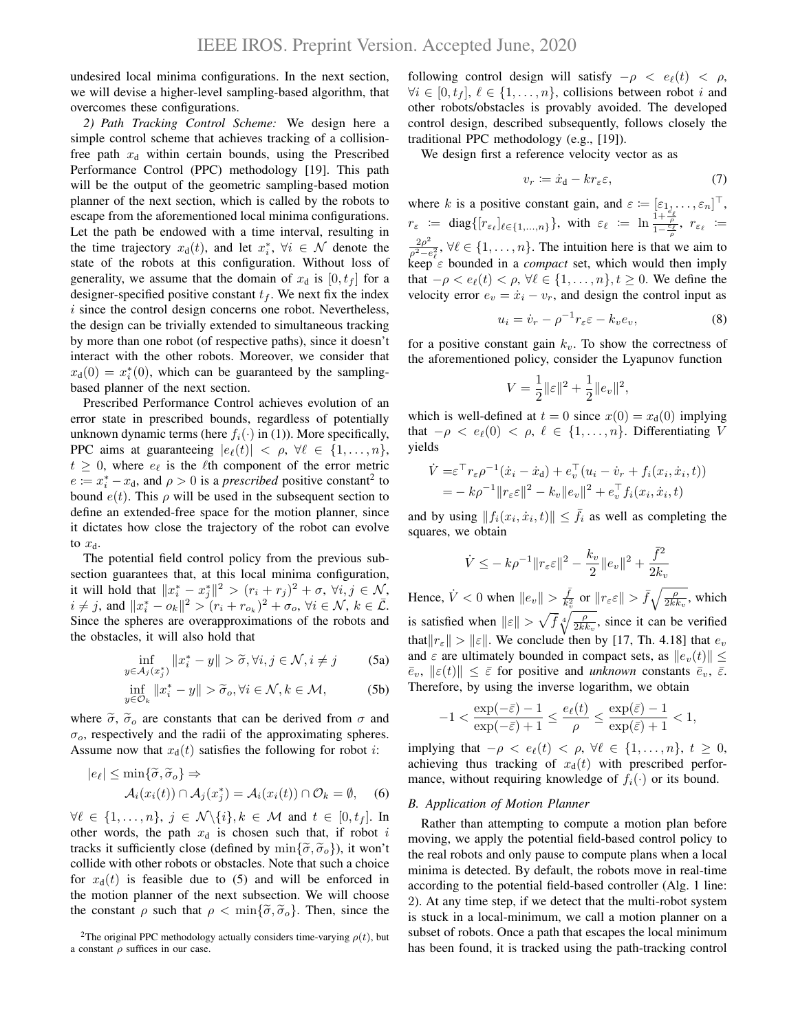undesired local minima configurations. In the next section, we will devise a higher-level sampling-based algorithm, that overcomes these configurations.

*2) Path Tracking Control Scheme:* We design here a simple control scheme that achieves tracking of a collisionfree path  $x_d$  within certain bounds, using the Prescribed Performance Control (PPC) methodology [19]. This path will be the output of the geometric sampling-based motion planner of the next section, which is called by the robots to escape from the aforementioned local minima configurations. Let the path be endowed with a time interval, resulting in the time trajectory  $x_d(t)$ , and let  $x_i^*$ ,  $\forall i \in \mathcal{N}$  denote the state of the robots at this configuration. Without loss of generality, we assume that the domain of  $x_d$  is  $[0, t_f]$  for a designer-specified positive constant  $t_f$ . We next fix the index  $i$  since the control design concerns one robot. Nevertheless, the design can be trivially extended to simultaneous tracking by more than one robot (of respective paths), since it doesn't interact with the other robots. Moreover, we consider that  $x_d(0) = x_i^*(0)$ , which can be guaranteed by the samplingbased planner of the next section.

Prescribed Performance Control achieves evolution of an error state in prescribed bounds, regardless of potentially unknown dynamic terms (here  $f_i(\cdot)$  in (1)). More specifically, PPC aims at guaranteeing  $|e_{\ell}(t)| < \rho, \forall \ell \in \{1, \ldots, n\},\$  $t \geq 0$ , where  $e_{\ell}$  is the  $\ell$ th component of the error metric  $e := x_i^* - x_d$ , and  $\rho > 0$  is a *prescribed* positive constant<sup>2</sup> to bound  $e(t)$ . This  $\rho$  will be used in the subsequent section to define an extended-free space for the motion planner, since it dictates how close the trajectory of the robot can evolve to  $x_d$ .

The potential field control policy from the previous subsection guarantees that, at this local minima configuration, it will hold that  $||x_i^* - x_j^*||^2 > (r_i + r_j)^2 + \sigma$ ,  $\forall i, j \in \mathcal{N}$ ,  $i \neq j$ , and  $||x_i^* - o_k||^2 > (r_i + r_{o_k})^2 + \sigma_o$ ,  $\forall i \in \mathcal{N}, k \in \overline{\mathcal{L}}$ . Since the spheres are overapproximations of the robots and the obstacles, it will also hold that

$$
\inf_{y \in A_j(x_j^*)} ||x_i^* - y|| > \widetilde{\sigma}, \forall i, j \in \mathcal{N}, i \neq j
$$
 (5a)

$$
\inf_{y \in \mathcal{O}_k} ||x_i^* - y|| > \widetilde{\sigma}_o, \forall i \in \mathcal{N}, k \in \mathcal{M},
$$
 (5b)

where  $\tilde{\sigma}$ ,  $\tilde{\sigma}_o$  are constants that can be derived from  $\sigma$  and  $\sigma_{\rm o}$ , respectively and the radii of the approximating spheres. Assume now that  $x_d(t)$  satisfies the following for robot *i*:

$$
|e_{\ell}| \le \min{\{\widetilde{\sigma}, \widetilde{\sigma}_o\}} \Rightarrow
$$
  

$$
\mathcal{A}_i(x_i(t)) \cap \mathcal{A}_j(x_j^*) = \mathcal{A}_i(x_i(t)) \cap \mathcal{O}_k = \emptyset,
$$
 (6)

 $\forall \ell \in \{1, \ldots, n\}, \ j \in \mathcal{N} \backslash \{i\}, k \in \mathcal{M} \text{ and } t \in [0, t_f].$  In other words, the path  $x_d$  is chosen such that, if robot i tracks it sufficiently close (defined by  $\min{\{\tilde{\sigma}, \tilde{\sigma}_o\}}$ ), it won't collide with other robots or obstacles. Note that such a choice for  $x_d(t)$  is feasible due to (5) and will be enforced in the motion planner of the next subsection. We will choose the constant  $\rho$  such that  $\rho < \min{\{\tilde{\sigma}, \tilde{\sigma}_o\}}$ . Then, since the following control design will satisfy  $-\rho < e_{\ell}(t) < \rho$ ,  $\forall i \in [0, t_f], \ell \in \{1, \ldots, n\}$ , collisions between robot i and other robots/obstacles is provably avoided. The developed control design, described subsequently, follows closely the traditional PPC methodology (e.g., [19]).

We design first a reference velocity vector as as

$$
v_r \coloneqq \dot{x}_d - kr_\varepsilon \varepsilon,\tag{7}
$$

where k is a positive constant gain, and  $\varepsilon \coloneqq [\varepsilon_1, \dots, \varepsilon_n]^\top$ ,  $r_{\varepsilon} := \text{diag}\{[r_{\varepsilon_\ell}]_{\ell \in \{1,...,n\}}\}, \text{ with } \varepsilon_\ell := \ln \frac{1+\frac{\varepsilon_\ell}{\rho}}{1-\frac{\varepsilon_\ell}{\rho}}, r_{\varepsilon_\ell} :=$  $2\rho^2$  $\frac{2\rho}{\rho^2 - e_\ell^2}$ ,  $\forall \ell \in \{1, \ldots, n\}$ . The intuition here is that we aim to  $\ker \mathcal{C}_{\varepsilon}$  bounded in a *compact* set, which would then imply that  $-\rho < e_{\ell}(t) < \rho, \forall \ell \in \{1, \ldots, n\}, t \geq 0$ . We define the velocity error  $e_v = \dot{x}_i - v_r$ , and design the control input as

$$
u_i = \dot{v}_r - \rho^{-1} r_\varepsilon \varepsilon - k_v e_v,\tag{8}
$$

for a positive constant gain  $k_v$ . To show the correctness of the aforementioned policy, consider the Lyapunov function

$$
V = \frac{1}{2} ||\varepsilon||^2 + \frac{1}{2} ||e_v||^2,
$$

which is well-defined at  $t = 0$  since  $x(0) = x_d(0)$  implying that  $-\rho \langle e_{\ell}(0) \rangle \langle \rho, \ell \in \{1, \ldots, n\}$ . Differentiating V yields

$$
\dot{V} = \varepsilon^{\top} r_{\varepsilon} \rho^{-1} (\dot{x}_i - \dot{x}_d) + e_v^{\top} (u_i - \dot{v}_r + f_i(x_i, \dot{x}_i, t)) \n= - k \rho^{-1} ||r_{\varepsilon} \varepsilon||^2 - k_v ||e_v||^2 + e_v^{\top} f_i(x_i, \dot{x}_i, t)
$$

and by using  $||f_i(x_i, \dot{x}_i, t)|| \leq \bar{f}_i$  as well as completing the squares, we obtain

$$
\dot{V} \le -k\rho^{-1} \|r_{\varepsilon}\varepsilon\|^2 - \frac{k_v}{2} \|e_v\|^2 + \frac{\bar{f}^2}{2k_v}
$$

Hence,  $\dot{V} < 0$  when  $||e_v|| > \frac{\bar{f}}{k_v^2}$  or  $||r_{\varepsilon} \varepsilon|| > \bar{f} \sqrt{\frac{\rho}{2k k_v}}$ , which is satisfied when  $\|\varepsilon\| > \sqrt{\bar{f}} \sqrt[4]{\frac{\rho}{2kk_v}}$ , since it can be verified that  $||r_{\varepsilon}|| > ||\varepsilon||$ . We conclude then by [17, Th. 4.18] that  $e_v$ and  $\varepsilon$  are ultimately bounded in compact sets, as  $||e_v(t)|| \le$  $\overline{e}_v$ ,  $\|\varepsilon(t)\| \leq \overline{\varepsilon}$  for positive and *unknown* constants  $\overline{e}_v$ ,  $\overline{\varepsilon}$ . Therefore, by using the inverse logarithm, we obtain

$$
-1<\frac{\exp(-\bar\varepsilon)-1}{\exp(-\bar\varepsilon)+1}\leq\frac{e_\ell(t)}{\rho}\leq \frac{\exp(\bar\varepsilon)-1}{\exp(\bar\varepsilon)+1}<1,
$$

implying that  $-\rho \langle e_{\ell}(t) \rangle \langle \rho, \forall \ell \in \{1, \ldots, n\}, t \geq 0$ , achieving thus tracking of  $x<sub>d</sub>(t)$  with prescribed performance, without requiring knowledge of  $f_i(\cdot)$  or its bound.

# *B. Application of Motion Planner*

Rather than attempting to compute a motion plan before moving, we apply the potential field-based control policy to the real robots and only pause to compute plans when a local minima is detected. By default, the robots move in real-time according to the potential field-based controller (Alg. 1 line: 2). At any time step, if we detect that the multi-robot system is stuck in a local-minimum, we call a motion planner on a subset of robots. Once a path that escapes the local minimum has been found, it is tracked using the path-tracking control

<sup>&</sup>lt;sup>2</sup>The original PPC methodology actually considers time-varying  $\rho(t)$ , but a constant  $\rho$  suffices in our case.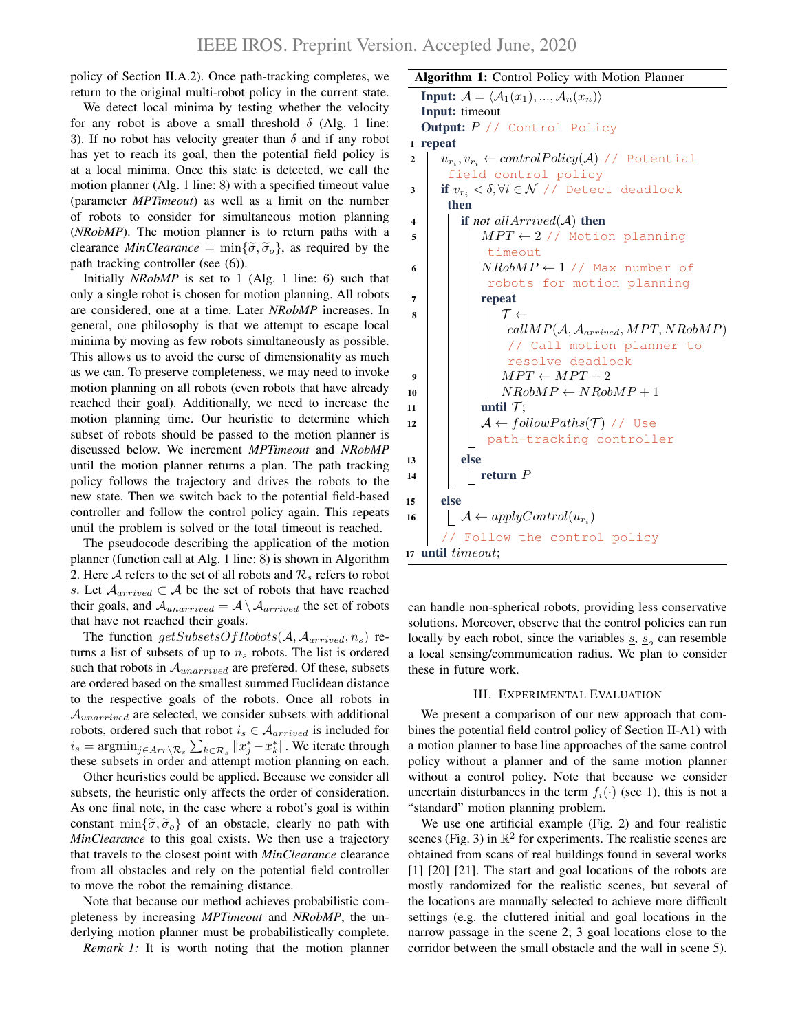policy of Section II.A.2). Once path-tracking completes, we return to the original multi-robot policy in the current state.

We detect local minima by testing whether the velocity for any robot is above a small threshold  $\delta$  (Alg. 1 line: 3). If no robot has velocity greater than  $\delta$  and if any robot has yet to reach its goal, then the potential field policy is at a local minima. Once this state is detected, we call the motion planner (Alg. 1 line: 8) with a specified timeout value (parameter *MPTimeout*) as well as a limit on the number of robots to consider for simultaneous motion planning (*NRobMP*). The motion planner is to return paths with a clearance *MinClearance* =  $\min{\{\tilde{\sigma}, \tilde{\sigma}_o\}}$ , as required by the path tracking controller (see (6)).

Initially *NRobMP* is set to 1 (Alg. 1 line: 6) such that only a single robot is chosen for motion planning. All robots are considered, one at a time. Later *NRobMP* increases. In general, one philosophy is that we attempt to escape local minima by moving as few robots simultaneously as possible. This allows us to avoid the curse of dimensionality as much as we can. To preserve completeness, we may need to invoke motion planning on all robots (even robots that have already reached their goal). Additionally, we need to increase the motion planning time. Our heuristic to determine which subset of robots should be passed to the motion planner is discussed below. We increment *MPTimeout* and *NRobMP* until the motion planner returns a plan. The path tracking policy follows the trajectory and drives the robots to the new state. Then we switch back to the potential field-based controller and follow the control policy again. This repeats until the problem is solved or the total timeout is reached.

The pseudocode describing the application of the motion planner (function call at Alg. 1 line: 8) is shown in Algorithm 2. Here A refers to the set of all robots and  $\mathcal{R}_s$  refers to robot s. Let  $\mathcal{A}_{arrived} \subset \mathcal{A}$  be the set of robots that have reached their goals, and  $\mathcal{A}_{unarrived} = \mathcal{A} \setminus \mathcal{A}_{arrived}$  the set of robots that have not reached their goals.

The function  $getSubsetsOfRobots(\mathcal{A}, \mathcal{A}_{arrived}, n_s)$  returns a list of subsets of up to  $n<sub>s</sub>$  robots. The list is ordered such that robots in  $A_{unarrived}$  are prefered. Of these, subsets are ordered based on the smallest summed Euclidean distance to the respective goals of the robots. Once all robots in  $A_{unarrived}$  are selected, we consider subsets with additional robots, ordered such that robot  $i_s \in \mathcal{A}_{arrived}$  is included for  $i_s = \text{argmin}_{j \in Arr \setminus \mathcal{R}_s} \sum_{k \in \mathcal{R}_s} ||x_j^* - x_k^*||$ . We iterate through these subsets in order and attempt motion planning on each.

Other heuristics could be applied. Because we consider all subsets, the heuristic only affects the order of consideration. As one final note, in the case where a robot's goal is within constant min $\{\tilde{\sigma}, \tilde{\sigma}_o\}$  of an obstacle, clearly no path with *MinClearance* to this goal exists. We then use a trajectory that travels to the closest point with *MinClearance* clearance from all obstacles and rely on the potential field controller to move the robot the remaining distance.

Note that because our method achieves probabilistic completeness by increasing *MPTimeout* and *NRobMP*, the underlying motion planner must be probabilistically complete.

*Remark 1:* It is worth noting that the motion planner

# Algorithm 1: Control Policy with Motion Planner

```
Input: \mathcal{A} = \langle \mathcal{A}_1(x_1), ..., \mathcal{A}_n(x_n) \rangleInput: timeout
  Output: P // Control Policy
1 repeat
 2\quad \left| \quad u_{r_i}, v_{r_i} \leftarrow controlPolicy(\mathcal{A}) \; / \; Potential
       field control policy
3 if v_{r_i} < \delta, \forall i \in \mathcal{N} // Detect deadlock
       then
4 if not allArrived(A) then
5 | | MPT \leftarrow 2 // Motion planning
               timeout
 6 | | NRobMP \leftarrow 1 // Max number of
               robots for motion planning
7 | | | | | repeat
 \sim \sim \simcallMP(A, \mathcal{A}_{arrived}, MPT, NRobMP)// Call motion planner to
                  resolve deadlock
 9 \vert \vert \vert MPT \leftarrow MPT + 210 \vert \vert NRobMP \leftarrow NRobMP + 111 | | until \mathcal{T};
12 A ← followP aths(T ) // Use
               path-tracking controller
13 else
14 | | return P15 else
16 \Box \mathcal{A} \leftarrow applyControl(u_{r_i})Follow the control policy
17 until timeout;
```
can handle non-spherical robots, providing less conservative solutions. Moreover, observe that the control policies can run locally by each robot, since the variables  $s$ ,  $s_o$  can resemble a local sensing/communication radius. We plan to consider these in future work.

#### III. EXPERIMENTAL EVALUATION

We present a comparison of our new approach that combines the potential field control policy of Section II-A1) with a motion planner to base line approaches of the same control policy without a planner and of the same motion planner without a control policy. Note that because we consider uncertain disturbances in the term  $f_i(\cdot)$  (see 1), this is not a "standard" motion planning problem.

We use one artificial example (Fig. 2) and four realistic scenes (Fig. 3) in  $\mathbb{R}^2$  for experiments. The realistic scenes are obtained from scans of real buildings found in several works [1] [20] [21]. The start and goal locations of the robots are mostly randomized for the realistic scenes, but several of the locations are manually selected to achieve more difficult settings (e.g. the cluttered initial and goal locations in the narrow passage in the scene 2; 3 goal locations close to the corridor between the small obstacle and the wall in scene 5).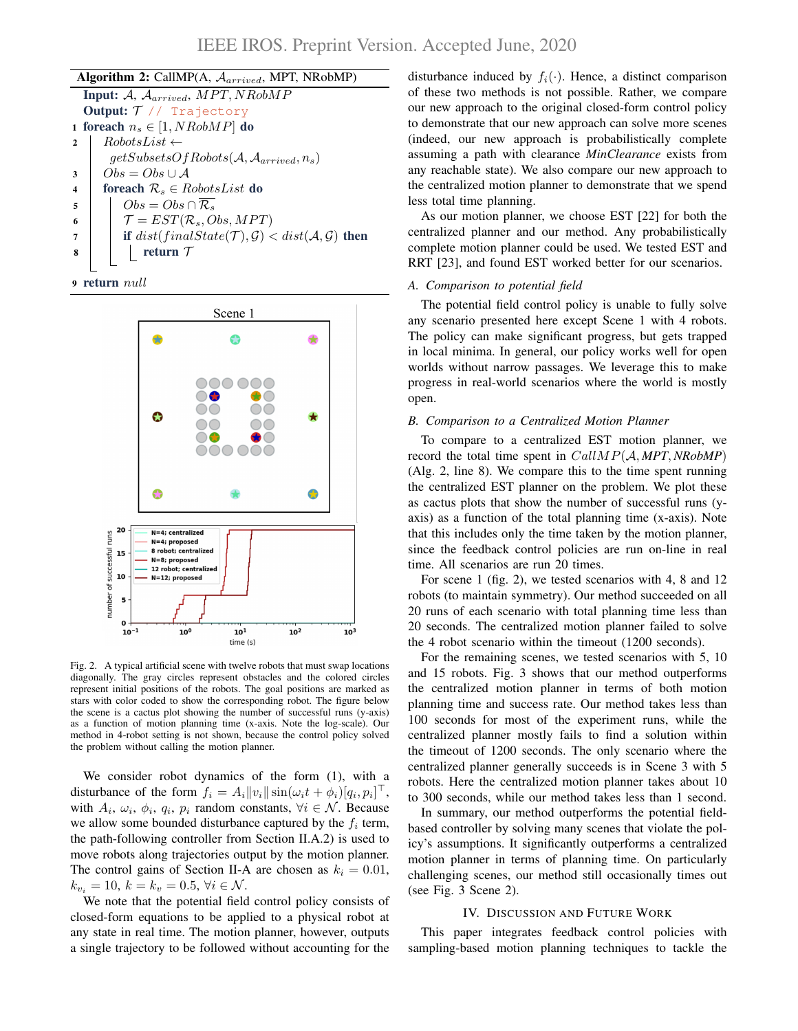| <b>Algorithm 2:</b> CallMP(A, $A_{arrived}$ , MPT, NRobMP) |                                                                                       |
|------------------------------------------------------------|---------------------------------------------------------------------------------------|
| <b>Input:</b> A, $\mathcal{A}_{arrived}$ , MPT, NRobMP     |                                                                                       |
| <b>Output:</b> $T$ // Trajectory                           |                                                                                       |
| 1 foreach $n_s \in [1, NRobMP]$ do                         |                                                                                       |
| $\mathbf{2}$                                               | $RobotsList \leftarrow$                                                               |
|                                                            | $getSubsetsOfRobots(\mathcal{A}, \mathcal{A}_{arrived}, n_s)$                         |
| 3                                                          | $Obs = Obs \cup A$                                                                    |
| $\boldsymbol{4}$                                           | foreach $\mathcal{R}_s \in \text{RobotsList}$ do                                      |
| 5                                                          | $Obs = Obs \cap \mathcal{R}_s$                                                        |
| 6                                                          | $\mathcal{T} = EST(\mathcal{R}_s, Obs, MPT)$                                          |
| 7                                                          | if $dist(finalState(\mathcal{T}), \mathcal{G}) < dist(\mathcal{A}, \mathcal{G})$ then |
| 8                                                          | return $\mathcal T$                                                                   |
|                                                            |                                                                                       |





Fig. 2. A typical artificial scene with twelve robots that must swap locations diagonally. The gray circles represent obstacles and the colored circles represent initial positions of the robots. The goal positions are marked as stars with color coded to show the corresponding robot. The figure below the scene is a cactus plot showing the number of successful runs (y-axis) as a function of motion planning time (x-axis. Note the log-scale). Our method in 4-robot setting is not shown, because the control policy solved the problem without calling the motion planner.

We consider robot dynamics of the form  $(1)$ , with a disturbance of the form  $f_i = A_i ||v_i|| \sin(\omega_i t + \phi_i) [q_i, p_i]^\top$ , with  $A_i$ ,  $\omega_i$ ,  $\phi_i$ ,  $q_i$ ,  $p_i$  random constants,  $\forall i \in \mathcal{N}$ . Because we allow some bounded disturbance captured by the  $f_i$  term, the path-following controller from Section II.A.2) is used to move robots along trajectories output by the motion planner. The control gains of Section II-A are chosen as  $k_i = 0.01$ ,  $k_{v_i} = 10, k = k_v = 0.5, \forall i \in \mathcal{N}$ .

We note that the potential field control policy consists of closed-form equations to be applied to a physical robot at any state in real time. The motion planner, however, outputs a single trajectory to be followed without accounting for the

disturbance induced by  $f_i(\cdot)$ . Hence, a distinct comparison of these two methods is not possible. Rather, we compare our new approach to the original closed-form control policy to demonstrate that our new approach can solve more scenes (indeed, our new approach is probabilistically complete assuming a path with clearance *MinClearance* exists from any reachable state). We also compare our new approach to the centralized motion planner to demonstrate that we spend less total time planning.

As our motion planner, we choose EST [22] for both the centralized planner and our method. Any probabilistically complete motion planner could be used. We tested EST and RRT [23], and found EST worked better for our scenarios.

# *A. Comparison to potential field*

The potential field control policy is unable to fully solve any scenario presented here except Scene 1 with 4 robots. The policy can make significant progress, but gets trapped in local minima. In general, our policy works well for open worlds without narrow passages. We leverage this to make progress in real-world scenarios where the world is mostly open.

# *B. Comparison to a Centralized Motion Planner*

To compare to a centralized EST motion planner, we record the total time spent in CallMP(A, *MPT*, *NRobMP*) (Alg. 2, line 8). We compare this to the time spent running the centralized EST planner on the problem. We plot these as cactus plots that show the number of successful runs (yaxis) as a function of the total planning time (x-axis). Note that this includes only the time taken by the motion planner, since the feedback control policies are run on-line in real time. All scenarios are run 20 times.

For scene 1 (fig. 2), we tested scenarios with 4, 8 and 12 robots (to maintain symmetry). Our method succeeded on all 20 runs of each scenario with total planning time less than 20 seconds. The centralized motion planner failed to solve the 4 robot scenario within the timeout (1200 seconds).

For the remaining scenes, we tested scenarios with 5, 10 and 15 robots. Fig. 3 shows that our method outperforms the centralized motion planner in terms of both motion planning time and success rate. Our method takes less than 100 seconds for most of the experiment runs, while the centralized planner mostly fails to find a solution within the timeout of 1200 seconds. The only scenario where the centralized planner generally succeeds is in Scene 3 with 5 robots. Here the centralized motion planner takes about 10 to 300 seconds, while our method takes less than 1 second.

In summary, our method outperforms the potential fieldbased controller by solving many scenes that violate the policy's assumptions. It significantly outperforms a centralized motion planner in terms of planning time. On particularly challenging scenes, our method still occasionally times out (see Fig. 3 Scene 2).

#### IV. DISCUSSION AND FUTURE WORK

This paper integrates feedback control policies with sampling-based motion planning techniques to tackle the